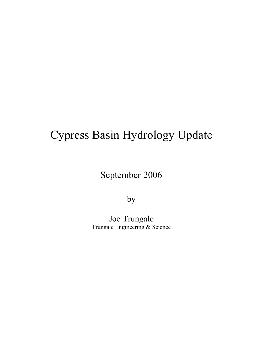# Cypress Basin Hydrology Update

## September 2006

by

Joe Trungale Trungale Engineering & Science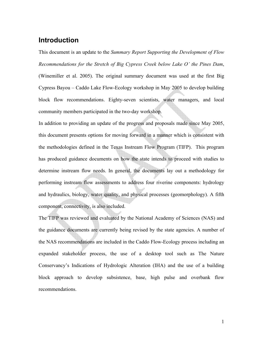### **Introduction**

This document is an update to the *Summary Report Supporting the Development of Flow Recommendations for the Stretch of Big Cypress Creek below Lake O' the Pines Dam*, (Winemiller et al. 2005). The original summary document was used at the first Big Cypress Bayou – Caddo Lake Flow-Ecology workshop in May 2005 to develop building block flow recommendations. Eighty-seven scientists, water managers, and local community members participated in the two-day workshop.

In addition to providing an update of the progress and proposals made since May 2005, this document presents options for moving forward in a manner which is consistent with the methodologies defined in the Texas Instream Flow Program (TIFP). This program has produced guidance documents on how the state intends to proceed with studies to determine instream flow needs. In general, the documents lay out a methodology for performing instream flow assessments to address four riverine components: hydrology and hydraulics, biology, water quality, and physical processes (geomorphology). A fifth component, connectivity, is also included.

The TIFP was reviewed and evaluated by the National Academy of Sciences (NAS) and the guidance documents are currently being revised by the state agencies. A number of the NAS recommendations are included in the Caddo Flow-Ecology process including an expanded stakeholder process, the use of a desktop tool such as The Nature Conservancy's Indications of Hydrologic Alteration (IHA) and the use of a building block approach to develop subsistence, base, high pulse and overbank flow recommendations.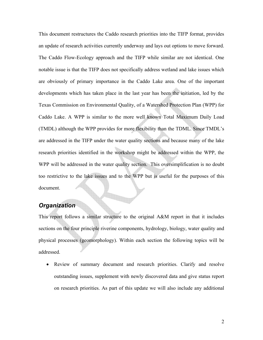This document restructures the Caddo research priorities into the TIFP format, provides an update of research activities currently underway and lays out options to move forward. The Caddo Flow-Ecology approach and the TIFP while similar are not identical. One notable issue is that the TIFP does not specifically address wetland and lake issues which are obviously of primary importance in the Caddo Lake area. One of the important developments which has taken place in the last year has been the initiation, led by the Texas Commission on Environmental Quality, of a Watershed Protection Plan (WPP) for Caddo Lake. A WPP is similar to the more well known Total Maximum Daily Load (TMDL) although the WPP provides for more flexibility than the TDML. Since TMDL's are addressed in the TIFP under the water quality sections and because many of the lake research priorities identified in the workshop might be addressed within the WPP, the WPP will be addressed in the water quality section. This oversimplification is no doubt too restrictive to the lake issues and to the WPP but is useful for the purposes of this document.

#### *Organization*

This report follows a similar structure to the original A&M report in that it includes sections on the four principle riverine components, hydrology, biology, water quality and physical processes (geomorphology). Within each section the following topics will be addressed.

• Review of summary document and research priorities. Clarify and resolve outstanding issues, supplement with newly discovered data and give status report on research priorities. As part of this update we will also include any additional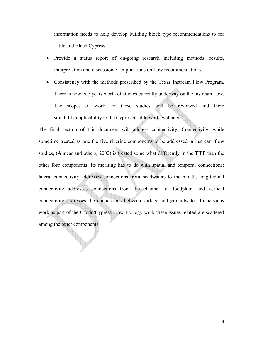information needs to help develop building block type recommendations to for Little and Black Cypress.

- Provide a status report of on-going research including methods, results, interpretation and discussion of implications on flow recommendations.
- Consistency with the methods prescribed by the Texas Instream Flow Program. There is now two years worth of studies currently underway on the instream flow. The scopes of work for these studies will be reviewed and there suitability/applicability to the Cypress/Caddo work evaluated.

The final section of this document will address connectivity. Connectivity, while sometime treated as one the five riverine components to be addressed in instream flow studies, (Annear and others, 2002) is treated some what differently in the TIFP than the other four components. Its meaning has to do with spatial and temporal connections; lateral connectivity addresses connections from headwaters to the mouth, longitudinal connectivity addresses connections from the channel to floodplain, and vertical connectivity addresses the connections between surface and groundwater. In pervious work as part of the Caddo/Cypress Flow Ecology work these issues related are scattered among the other components.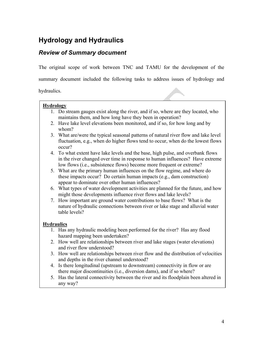## **Hydrology and Hydraulics**

## *Review of Summary document*

The original scope of work between TNC and TAMU for the development of the

summary document included the following tasks to address issues of hydrology and

hydraulics.

| <i>v</i> draulics. |                                                                                                                                                                                                                                         |
|--------------------|-----------------------------------------------------------------------------------------------------------------------------------------------------------------------------------------------------------------------------------------|
| <b>Hydrology</b>   |                                                                                                                                                                                                                                         |
|                    | 1. Do stream gauges exist along the river, and if so, where are they located, who<br>maintains them, and how long have they been in operation?                                                                                          |
|                    | 2. Have lake level elevations been monitored, and if so, for how long and by<br>whom?                                                                                                                                                   |
|                    | 3. What are/were the typical seasonal patterns of natural river flow and lake level<br>fluctuation, e.g., when do higher flows tend to occur, when do the lowest flows<br>occur?                                                        |
|                    | 4. To what extent have lake levels and the base, high pulse, and overbank flows<br>in the river changed over time in response to human influences? Have extreme<br>low flows (i.e., subsistence flows) become more frequent or extreme? |
|                    | 5. What are the primary human influences on the flow regime, and where do<br>these impacts occur? Do certain human impacts (e.g., dam construction)<br>appear to dominate over other human influences?                                  |
|                    | 6. What types of water development activities are planned for the future, and how<br>might those developments influence river flows and lake levels?                                                                                    |
| 7.                 | How important are ground water contributions to base flows? What is the<br>nature of hydraulic connections between river or lake stage and alluvial water<br>table levels?                                                              |
| <b>Hydraulics</b>  |                                                                                                                                                                                                                                         |
|                    | 1. Has any hydraulic modeling been performed for the river? Has any flood<br>hazard mapping been undertaken?                                                                                                                            |
|                    | 2. How well are relationships between river and lake stages (water elevations)<br>and river flow understood?                                                                                                                            |
| 3.                 | How well are relationships between river flow and the distribution of velocities<br>and depths in the river channel understood?                                                                                                         |
|                    | 4. Is there longitudinal (upstream to downstream) connectivity in flow or are<br>there major discontinuities (i.e., diversion dams), and if so where?                                                                                   |
|                    | 5. Has the lateral connectivity between the river and its floodplain been altered in<br>any way?                                                                                                                                        |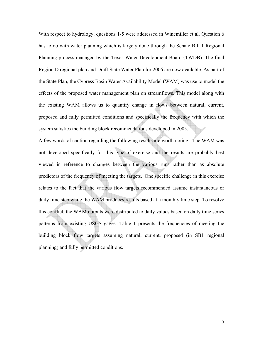With respect to hydrology, questions 1-5 were addressed in Winemiller et al. Question 6 has to do with water planning which is largely done through the Senate Bill 1 Regional Planning process managed by the Texas Water Development Board (TWDB). The final Region D regional plan and Draft State Water Plan for 2006 are now available. As part of the State Plan, the Cypress Basin Water Availability Model (WAM) was use to model the effects of the proposed water management plan on streamflows. This model along with the existing WAM allows us to quantify change in flows between natural, current, proposed and fully permitted conditions and specifically the frequency with which the system satisfies the building block recommendations developed in 2005.

A few words of caution regarding the following results are worth noting. The WAM was not developed specifically for this type of exercise and the results are probably best viewed in reference to changes between the various runs rather than as absolute predictors of the frequency of meeting the targets. One specific challenge in this exercise relates to the fact that the various flow targets recommended assume instantaneous or daily time step while the WAM produces results based at a monthly time step. To resolve this conflict, the WAM outputs were distributed to daily values based on daily time series patterns from existing USGS gages. Table 1 presents the frequencies of meeting the building block flow targets assuming natural, current, proposed (in SB1 regional planning) and fully permitted conditions.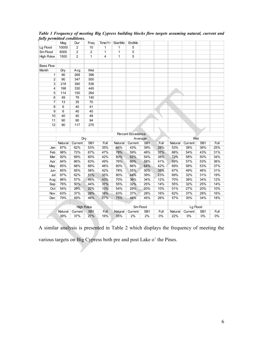| 10000<br>6000<br>1500 | $\overline{2}$<br>$\overline{2}$ | 10<br>$\overline{2}$ | 1                       | 1            | 5              |                 |                   |          |         |                 |       |
|-----------------------|----------------------------------|----------------------|-------------------------|--------------|----------------|-----------------|-------------------|----------|---------|-----------------|-------|
|                       |                                  |                      |                         |              |                |                 |                   |          |         |                 |       |
|                       |                                  |                      | $\overline{1}$          | 1            | $\overline{5}$ |                 |                   |          |         |                 |       |
|                       | $\overline{2}$                   | $\mathbf{1}$         | $\overline{\mathbf{4}}$ | $\mathbf{1}$ | 5              |                 |                   |          |         |                 |       |
|                       |                                  |                      |                         |              |                |                 |                   |          |         |                 |       |
|                       |                                  |                      |                         |              |                |                 |                   |          |         |                 |       |
| Dry                   | Avg                              | Wet                  |                         |              |                |                 |                   |          |         |                 |       |
| 90                    | 268                              | 396                  |                         |              |                |                 |                   |          |         |                 |       |
| 90                    | 347                              | 500                  |                         |              |                |                 |                   |          |         |                 |       |
| 218                   | 390                              | 536                  |                         |              |                |                 |                   |          |         |                 |       |
| 198                   | 330                              | 445                  |                         |              |                |                 |                   |          |         |                 |       |
| 114                   | 150                              | 264                  |                         |              |                |                 |                   |          |         |                 |       |
| 49                    | 79                               | 140                  |                         |              |                |                 |                   |          |         |                 |       |
| 13                    | 35                               | 70                   |                         |              |                |                 |                   |          |         |                 |       |
| $6\overline{6}$       | 40                               | 41                   |                         |              |                |                 |                   |          |         |                 |       |
| 6                     | 40                               | 40                   |                         |              |                |                 |                   |          |         |                 |       |
| 40                    | 40                               | 49                   |                         |              |                |                 |                   |          |         |                 |       |
| 90                    | 90                               | 94                   |                         |              |                |                 |                   |          |         |                 |       |
| 90                    | 117                              | 275                  |                         |              |                |                 |                   |          |         |                 |       |
|                       |                                  |                      |                         |              |                |                 |                   |          |         |                 |       |
|                       |                                  |                      |                         |              |                |                 |                   |          |         |                 |       |
|                       |                                  |                      |                         | Average      |                |                 |                   |          |         |                 |       |
| Natural               |                                  | SB <sub>1</sub>      | Full                    | Natural      | Current        | SB <sub>1</sub> | Full              | Natural  | Current | SB1             | Full  |
| 87%                   | 62%                              | 53%                  | 35%                     | 66%          | 43%            | 39%             | 28%               | 53%      | 38%     | 36%             | 25%   |
| 98%                   | 72%                              | 67%                  | 47%                     | 78%          | 59%            | 48%             | 37%               | 68%      | 54%     | 43%             | 31%   |
| 92%                   | 69%                              | 60%                  | 42%                     | 80%          | 62%            | 54%             | 38%               | 72%      | 58%     | 50%             | 34%   |
| 84%                   | 66%                              | 63%                  | 49%                     | 76%          | 60%            | 58%             | 41%               | 69%      | 57%     | 53%             | 36%   |
| 85%                   | 68%                              | 66%                  | 46%                     | 80%          | 66%            | 64%             | 42%               | 69%      | 58%     | 53%             | 37%   |
| 85%                   | 65%                              | 58%                  | 42%                     | 78%          | 55%            | 50%             | 35%               | 67%      | 49%     | 46%             | 31%   |
| 87%                   | 62%                              | 51%                  | 35%                     | 80%          | 44%            | 39%             | 23%               | 69%      | 32%     | 31%             | 19%   |
| 86%                   | 57%                              | 46%                  | 43%                     | 70%          | 38%            | 34%             | 12%               | 70%      | 38%     | 34%             | 12%   |
| 76%                   | 50%                              | 44%                  | 37%                     | 55%          | 32%            | 25%             | 14%               | 55%      | 32%     | 25%             | 14%   |
| 54%                   | 29%                              | 20%                  | 10%                     | 54%          | 29%            | 20%             | 10%               | 51%      | 27%     | 20%             | 10%   |
| 63%                   | 37%                              | 28%                  | 16%                     | 63%          | 37%            | 28%             | 16%               | 62%      | 37%     | 28%             | 16%   |
| 79%                   | 49%                              | 46%                  | 27%                     | 75%          | 46%            | 45%             | 26%               | 57%      | 35%     | 34%             | 18%   |
|                       |                                  |                      |                         |              |                |                 |                   |          |         |                 |       |
| <b>High Pulse</b>     |                                  |                      |                         | Sm Flood     |                |                 |                   | Lg Flood |         |                 |       |
| Natural               |                                  | SB <sub>1</sub>      | Full                    | Natural      | Current        | SB <sub>1</sub> | Full              | Natural  | Current | SB <sub>1</sub> | Full  |
| 39%                   | 37%                              | 27%                  | 16%                     | 35%          | 2%             | 2%              | 0%                | 22%      | 0%      | 0%              | $0\%$ |
|                       |                                  | Current<br>Current   | Dry                     |              |                |                 | Percent Excedence |          |         |                 | Wet   |

*Table 1 Frequency of meeting Big Cypress building blocks flow targets assuming natural, current and fully permitted conditions.* 

A similar analysis is presented in Table 2 which displays the frequency of meeting the various targets on Big Cypress both pre and post Lake o' the Pines.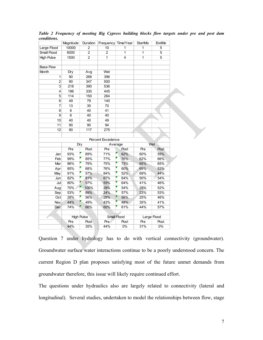|                         | Magnitude         | Duration        | Frequency Time/Year |                | <b>StartMo</b> | EndMo          |
|-------------------------|-------------------|-----------------|---------------------|----------------|----------------|----------------|
| Large Flood             | 10000             | $\overline{2}$  | 10                  | 1              | $\mathbf{1}$   | 5              |
| Small Flood             | 6000              | $\overline{2}$  | $\overline{c}$      | $\mathbf{1}$   | $\mathbf 1$    | $\overline{5}$ |
| <b>High Pulse</b>       | 1500              | $\overline{2}$  | 1                   | $\overline{4}$ | $\overline{1}$ | $\overline{5}$ |
|                         |                   |                 |                     |                |                |                |
| <b>Base Flow</b>        |                   |                 |                     |                |                |                |
| Month                   | Dry               | Avg             | Wet                 |                |                |                |
| 1                       | 90                | 268             | 396                 |                |                |                |
| $\overline{2}$          | 90                | 347             | 500                 |                |                |                |
| $\overline{\mathbf{3}}$ | 218               | 390             | 536                 |                |                |                |
| 4                       | 198               | 330             | 445                 |                |                |                |
| 5                       | 114               | 150             | 264                 |                |                |                |
| $\overline{6}$          | 49                | 79              | 140                 |                |                |                |
| 7                       | $\overline{13}$   | $\overline{35}$ | 70                  |                |                |                |
| 8                       | 6                 | 40              | 41                  |                |                |                |
| $\overline{9}$          | 6                 | 40              | 40                  |                |                |                |
| 10                      | 40                | 40              | 49                  |                |                |                |
| 11                      | 90                | 90              | 94                  |                |                |                |
| 12                      | 90                | 117             | 275                 |                |                |                |
|                         |                   |                 |                     |                |                |                |
|                         |                   |                 | Percent Excedence   |                |                |                |
|                         | Dry               |                 | Average             |                | Wet            |                |
|                         | Pre               | Post            | Pre                 | Post           | Pre            | Post           |
| Jan                     | 93%               | 69%             | 71%                 | 62%            | 60%            | 55%            |
| Feb                     | 99%               | 85%             | 77%                 | 76%            | 62%            | 66%            |
| Mar                     | 86%               | 79%             | 75%                 | 73%            | 65%            | 65%            |
| Apr                     | 85%               | 68%             | 76%                 | 60%            | 69%            | 53%            |
| May                     | 91%               | 57%             | 84%                 | 52%            | 69%            | 44%            |
| Jun                     | 82%               | 81%             | 67%                 | 64%            | 50%            | 54%            |
| Jul                     | 80%               | 97%             | 55%                 | 64%            | 41%            | 46%            |
| Aug                     | 70%               | 100%            | 28%                 | 54%            | 28%            | 52%            |
| Sep                     | 53%               | 89%             | 24%                 | 57%            | 23%            | 53%            |
| Oct                     | 28%               | 56%             | 28%                 | 56%            | 25%            | 46%            |
| Nov.                    | 44%               | 49%             | 43%                 | 48%            | 35%            | 41%            |
| Dec                     | 74%               | 66%             | 60%                 | 61%            | 44%            | 57%            |
|                         |                   |                 |                     |                |                |                |
|                         | <b>High Pulse</b> |                 |                     | Small Flood    |                | Large Flood    |
|                         | Pre               | Post            | Pre                 | Post           | Pre            | Post           |
|                         | 44%               | 35%             | 44%                 | $0\%$          | 31%            | $0\%$          |

*Table 2 Frequency of meeting Big Cypress building blocks flow targets under pre and post dam conditions.* 

Question 7 under hydrology has to do with vertical connectivity (groundwater). Groundwater surface water interactions continue to be a poorly understood concern. The current Region D plan proposes satisfying most of the future unmet demands from groundwater therefore, this issue will likely require continued effort.

The questions under hydraulics also are largely related to connectivity (lateral and longitudinal). Several studies, undertaken to model the relationships between flow, stage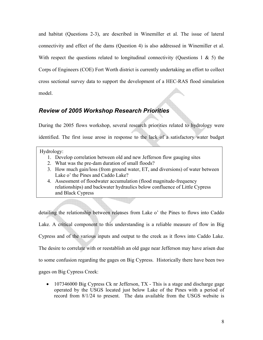and habitat (Questions 2-3), are described in Winemiller et al. The issue of lateral connectivity and effect of the dams (Question 4) is also addressed in Winemiller et al. With respect the questions related to longitudinal connectivity (Ouestions 1  $\&$  5) the Corps of Engineers (COE) Fort Worth district is currently undertaking an effort to collect cross sectional survey data to support the development of a HEC-RAS flood simulation model.

### *Review of 2005 Workshop Research Priorities*

During the 2005 flows workshop, several research priorities related to hydrology were identified. The first issue arose in response to the lack of a satisfactory water budget

#### Hydrology:

- 1. Develop correlation between old and new Jefferson flow gauging sites
- 2. What was the pre-dam duration of small floods?
- 3. How much gain/loss (from ground water, ET, and diversions) of water between Lake o' the Pines and Caddo Lake?
- 4. Assessment of floodwater accumulation (flood magnitude-frequency relationships) and backwater hydraulics below confluence of Little Cypress and Black Cypress

detailing the relationship between releases from Lake o' the Pines to flows into Caddo Lake. A critical component to this understanding is a reliable measure of flow in Big Cypress and of the various inputs and output to the creek as it flows into Caddo Lake. The desire to correlate with or reestablish an old gage near Jefferson may have arisen due to some confusion regarding the gages on Big Cypress. Historically there have been two gages on Big Cypress Creek:

• 107346000 Big Cypress Ck nr Jefferson, TX - This is a stage and discharge gage operated by the USGS located just below Lake of the Pines with a period of record from 8/1/24 to present. The data available from the USGS website is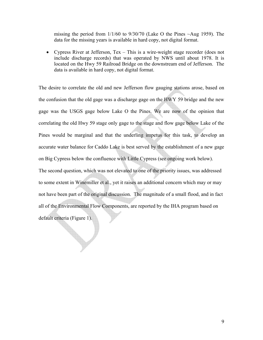missing the period from  $1/1/60$  to  $9/30/70$  (Lake O the Pines  $\sim$ Aug 1959). The data for the missing years is available in hard copy, not digital format.

• Cypress River at Jefferson, Tex – This is a wire-weight stage recorder (does not include discharge records) that was operated by NWS until about 1978. It is located on the Hwy 59 Railroad Bridge on the downstream end of Jefferson. The data is available in hard copy, not digital format.

The desire to correlate the old and new Jefferson flow gauging stations arose, based on the confusion that the old gage was a discharge gage on the HWY 59 bridge and the new gage was the USGS gage below Lake O the Pines. We are now of the opinion that correlating the old Hwy 59 stage only gage to the stage and flow gage below Lake of the Pines would be marginal and that the underling impetus for this task, to develop an accurate water balance for Caddo Lake is best served by the establishment of a new gage on Big Cypress below the confluence with Little Cypress (see ongoing work below). The second question, which was not elevated to one of the priority issues, was addressed to some extent in Winemiller et al., yet it raises an additional concern which may or may not have been part of the original discussion. The magnitude of a small flood, and in fact

all of the Environmental Flow Components, are reported by the IHA program based on

default criteria (Figure 1).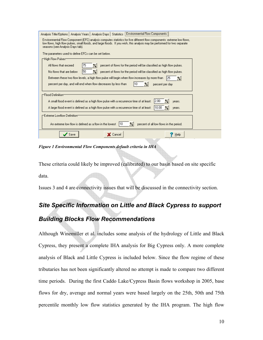| Analysis Title/Options   Analysis Years   Analysis Days   Statistics   Environmental Flow Components                                                                                                                                                                                    |  |  |  |  |  |  |  |
|-----------------------------------------------------------------------------------------------------------------------------------------------------------------------------------------------------------------------------------------------------------------------------------------|--|--|--|--|--|--|--|
| Environmental Flow Component (EFC) analysis computes statistics for five different flow components: extreme low flows,<br>low flows, high flow pulses, small floods, and large floods. If you wish, this analysis may be performed for two separate<br>seasons (see Analysis Days tab). |  |  |  |  |  |  |  |
| The parameters used to define EFCs can be set below.                                                                                                                                                                                                                                    |  |  |  |  |  |  |  |
| r−High Flow Pulses⊤                                                                                                                                                                                                                                                                     |  |  |  |  |  |  |  |
| All flows that exceed<br>percent of flows for the period will be classified as high flow pulses.<br>75<br>X                                                                                                                                                                             |  |  |  |  |  |  |  |
| 50<br>No flows that are below<br>percent of flows for the period will be classified as high flow pulses.<br>X                                                                                                                                                                           |  |  |  |  |  |  |  |
| Between these two flow levels, a high flow pulse will begin when flow increases by more than                                                                                                                                                                                            |  |  |  |  |  |  |  |
| percent per day, and will end when flow decreases by less than<br>percent per day                                                                                                                                                                                                       |  |  |  |  |  |  |  |
| r−Flood Definitiom                                                                                                                                                                                                                                                                      |  |  |  |  |  |  |  |
| 12.00<br>A small flood event is defined as a high flow pulse with a recurrence time of at least:<br>years.                                                                                                                                                                              |  |  |  |  |  |  |  |
| 10.00<br>A large flood event is defined as a high flow pulse with a recurrence time of at least:<br>years.<br>Z.                                                                                                                                                                        |  |  |  |  |  |  |  |
| r⊤Extreme Lowflow Definitiom                                                                                                                                                                                                                                                            |  |  |  |  |  |  |  |
| 110                                                                                                                                                                                                                                                                                     |  |  |  |  |  |  |  |
| percent of all low flows in the period.<br>An extreme low flow is defined as a flow in the lowest<br>$\times$                                                                                                                                                                           |  |  |  |  |  |  |  |
| <b>X</b> Cancel<br>Help                                                                                                                                                                                                                                                                 |  |  |  |  |  |  |  |

*Figure 1 Environmental Flow Components default criteria in IHA* 

These criteria could likely be improved (calibrated) to our basin based on site specific data.

Issues 3 and 4 are connectivity issues that will be discussed in the connectivity section.

## *Site Specific Information on Little and Black Cypress to support Building Blocks Flow Recommendations*

Although Winemiller et al. includes some analysis of the hydrology of Little and Black Cypress, they present a complete IHA analysis for Big Cypress only. A more complete analysis of Black and Little Cypress is included below. Since the flow regime of these tributaries has not been significantly altered no attempt is made to compare two different time periods. During the first Caddo Lake/Cypress Basin flows workshop in 2005, base flows for dry, average and normal years were based largely on the 25th, 50th and 75th percentile monthly low flow statistics generated by the IHA program. The high flow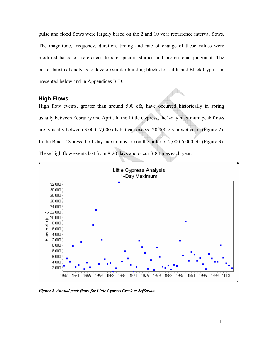pulse and flood flows were largely based on the 2 and 10 year recurrence interval flows. The magnitude, frequency, duration, timing and rate of change of these values were modified based on references to site specific studies and professional judgment. The basic statistical analysis to develop similar building blocks for Little and Black Cypress is presented below and in Appendices B-D.

#### **High Flows**

 $\Box$ 

High flow events, greater than around 500 cfs, have occurred historically in spring usually between February and April. In the Little Cypress, the1-day maximum peak flows are typically between 3,000 -7,000 cfs but can exceed 20,000 cfs in wet years (Figure 2). In the Black Cypress the 1-day maximums are on the order of 2,000-5,000 cfs (Figure 3). These high flow events last from 8-20 days and occur 3-8 times each year.  $\blacksquare$ 



Little Cypress Analysis 1-Day Maximum

*Figure 2 Annual peak flows for Little Cypress Creek at Jefferson* 

 $\Box$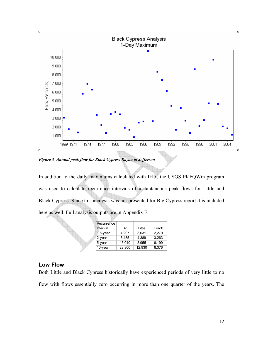

*Figure 3 Annual peak flow for Black Cypress Bayou at Jefferson* 

In addition to the daily maximums calculated with IHA, the USGS PKFQWin program was used to calculate recurrence intervals of instantaneous peak flows for Little and Black Cypress. Since this analysis was not presented for Big Cypress report it is included here as well. Full analysis outputs are in Appendix E.

| Recurrence  |        |        |              |
|-------------|--------|--------|--------------|
| Interval    | Big    | Little | <b>Black</b> |
| $1.5$ -year | 4.207  | 3.031  | 2.270        |
| $2$ -year   | 6,485  | 4.389  | 3.263        |
| $5$ -year   | 15,040 | 8.955  | 6,199        |
| $10$ -year  | 23,300 | 12.930 | 8,376        |

#### **Low Flow**

Both Little and Black Cypress historically have experienced periods of very little to no flow with flows essentially zero occurring in more than one quarter of the years. The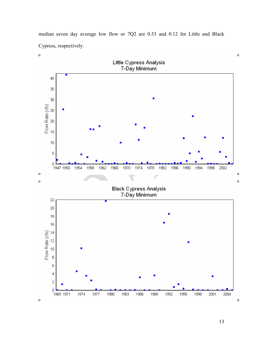median seven day average low flow or 7Q2 are 0.53 and 0.12 for Little and Black Cypress, respectively.



13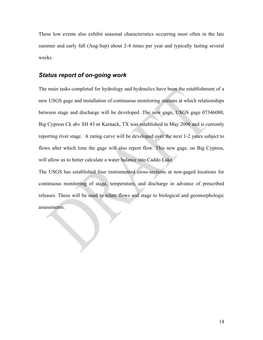These low events also exhibit seasonal characteristics occurring most often in the late summer and early fall (Aug-Sep) about 2-4 times per year and typically lasting several weeks.

#### *Status report of on-going work*

The main tasks completed for hydrology and hydraulics have been the establishment of a new USGS gage and installation of continuous monitoring stations at which relationships between stage and discharge will be developed. The new gage, USGS gage 07346080, Big Cypress Ck abv SH 43 nr Karnack, TX was established in May 2006 and is currently reporting river stage. A rating curve will be developed over the next 1-2 years subject to flows after which time the gage will also report flow. This new gage, on Big Cypress, will allow us to better calculate a water balance into Caddo Lake.

The USGS has established four instrumented cross-sections at non-gaged locations for continuous monitoring of stage, temperature, and discharge in advance of prescribed releases. These will be used to relate flows and stage to biological and geomorphologic assessments.

14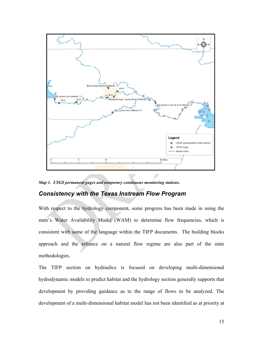

*Map 1. USGS permanent gages and temporary continuous monitoring stations.* 

#### *Consistency with the Texas Instream Flow Program*

With respect to the hydrology component, some progress has been made in using the state's Water Availability Model (WAM) to determine flow frequencies, which is consistent with some of the language within the TIFP documents. The building blocks approach and the reliance on a natural flow regime are also part of the state methodologies.

The TIFP section on hydraulics is focused on developing multi-dimensional hydrodynamic models to predict habitat and the hydrology section generally supports that development by providing guidance as to the range of flows to be analyzed. The development of a multi-dimensional habitat model has not been identified as at priority at